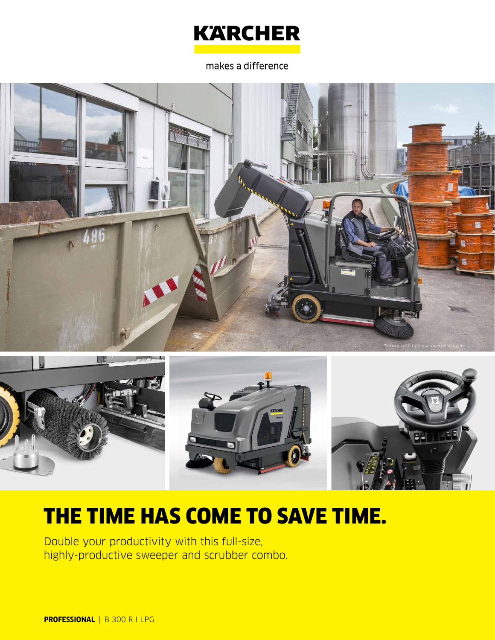

makes a difference





# THE TIME HAS COME TO SAVE TIME.

Double your productivity with this full-size, highly-productive sweeper and scrubber combo.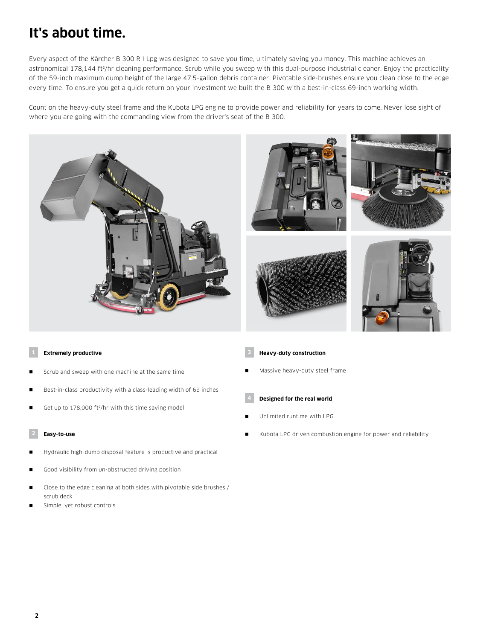# **It's about time.**

Every aspect of the Kärcher B 300 R I Lpg was designed to save you time, ultimately saving you money. This machine achieves an astronomical 178,144 ft<sup>2</sup>/hr cleaning performance. Scrub while you sweep with this dual-purpose industrial cleaner. Enjoy the practicality of the 59-inch maximum dump height of the large 47.5-gallon debris container. Pivotable side-brushes ensure you clean close to the edge every time. To ensure you get a quick return on your investment we built the B 300 with a best-in-class 69-inch working width.

Count on the heavy-duty steel frame and the Kubota LPG engine to provide power and reliability for years to come. Never lose sight of where you are going with the commanding view from the driver's seat of the B 300.











### **1 Extremely productive**

- Scrub and sweep with one machine at the same time
- Best-in-class productivity with a class-leading width of 69 inches
- Get up to 178,000 ft<sup>2</sup>/hr with this time saving model

#### **2 Easy-to-use**

- Hydraulic high-dump disposal feature is productive and practical
- Good visibility from un-obstructed driving position
- Close to the edge cleaning at both sides with pivotable side brushes / scrub deck
- Simple, yet robust controls

### **3 Heavy-duty construction**

Massive heavy-duty steel frame

### **4 Designed for the real world**

- Unlimited runtime with LPG
- Kubota LPG driven combustion engine for power and reliability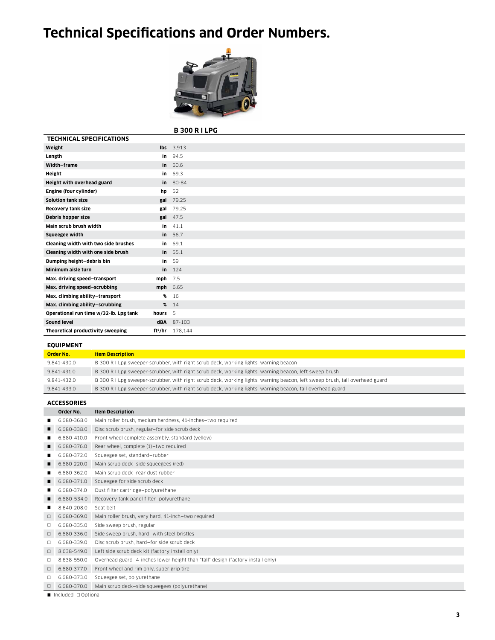# **Technical Specifications and Order Numbers.**



# **B 300 R I LPG**

| <b>TECHNICAL SPECIFICATIONS</b>        |           |                               |
|----------------------------------------|-----------|-------------------------------|
| Weight                                 |           | $Ibs$ 3,913                   |
| Length                                 |           | in $94.5$                     |
| Width-frame                            |           | in 60.6                       |
| Height                                 | in        | 69.3                          |
| Height with overhead guard             |           | $in 80-84$                    |
| Engine (four cylinder)                 | hp        | 52                            |
| Solution tank size                     |           | gal 79.25                     |
| Recovery tank size                     | gal       | 79.25                         |
| Debris hopper size                     |           | gal 47.5                      |
| Main scrub brush width                 | in        | 41.1                          |
| Squeegee width                         |           | in 56.7                       |
| Cleaning width with two side brushes   | in.       | 69.1                          |
| Cleaning width with one side brush     |           | in 55.1                       |
| Dumping height-debris bin              | in        | 59                            |
| Minimum aisle turn                     |           | in $124$                      |
| Max. driving speed-transport           | $mph$ 7.5 |                               |
| Max. driving speed-scrubbing           | mph 6.65  |                               |
| Max. climbing ability-transport        |           | % 16                          |
| Max. climbing ability-scrubbing        | %         | 14                            |
| Operational run time w/32-lb. Lpg tank | hours     | 5                             |
| Sound level                            |           | dBA 87-103                    |
| Theoretical productivity sweeping      |           | ft <sup>2</sup> /hr $178.144$ |

# **EQUIPMENT**

| <b>Order No.</b> | <b>Item Description</b>                                                                                                      |
|------------------|------------------------------------------------------------------------------------------------------------------------------|
| 9.841-430.0      | B 300 R I Lpg sweeper-scrubber, with right scrub deck, working lights, warning beacon                                        |
| 9.841-431.0      | B 300 R I Lpg sweeper-scrubber, with right scrub deck, working lights, warning beacon, left sweep brush                      |
| 9.841-432.0      | B 300 R I Lpg sweeper-scrubber, with right scrub deck, working lights, warning beacon, left sweep brush, tall overhead guard |
| 9.841-433.0      | B 300 R I Lpg sweeper-scrubber, with right scrub deck, working lights, warning beacon, tall overhead guard                   |
|                  |                                                                                                                              |

### **ACCESSORIES**

|        | Order No.   | <b>Item Description</b>                                                        |
|--------|-------------|--------------------------------------------------------------------------------|
|        | 6.680-368.0 | Main roller brush, medium hardness, 41-inches-two required                     |
|        | 6.680-338.0 | Disc scrub brush, regular-for side scrub deck                                  |
|        | 6.680-410.0 | Front wheel complete assembly, standard (yellow)                               |
| п      | 6.680-376.0 | Rear wheel, complete (1)-two required                                          |
|        | 6.680-372.0 | Squeegee set, standard-rubber                                                  |
|        | 6.680-220.0 | Main scrub deck-side squeegees (red)                                           |
|        | 6.680-362.0 | Main scrub deck-rear dust rubber                                               |
|        | 6.680-371.0 | Squeegee for side scrub deck                                                   |
|        | 6.680-374.0 | Dust filter cartridge-polyurethane                                             |
|        | 6.680-534.0 | Recovery tank panel filter-polyurethane                                        |
|        | 8.640-208.0 | Seat belt                                                                      |
| $\Box$ | 6.680-369.0 | Main roller brush, very hard, 41-inch-two required                             |
| □      | 6.680-335.0 | Side sweep brush, regular                                                      |
| $\Box$ | 6.680-336.0 | Side sweep brush, hard-with steel bristles                                     |
| □      | 6.680-339.0 | Disc scrub brush, hard-for side scrub deck                                     |
| $\Box$ | 8.638-549.0 | Left side scrub deck kit (factory install only)                                |
| $\Box$ | 8.638-550.0 | Overhead guard-4-inches lower height than "tall" design (factory install only) |
| $\Box$ | 6.680-377.0 | Front wheel and rim only, super grip tire                                      |
| □      | 6.680-373.0 | Squeegee set, polyurethane                                                     |
| $\Box$ | 6.680-370.0 | Main scrub deck-side squeegees (polyurethane)                                  |

Included **Optional**